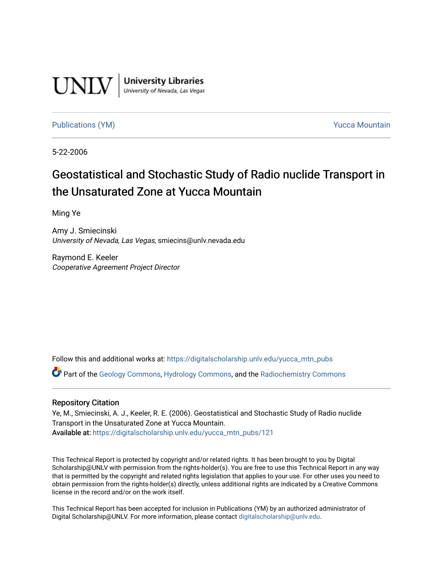

**University Libraries**<br>University of Nevada, Las Vegas

[Publications \(YM\)](https://digitalscholarship.unlv.edu/yucca_mtn_pubs) **Publications (YM) Publications (YM) Publications** (*YM*)

5-22-2006

### Geostatistical and Stochastic Study of Radio nuclide Transport in the Unsaturated Zone at Yucca Mountain

Ming Ye

Amy J. Smiecinski University of Nevada, Las Vegas, smiecins@unlv.nevada.edu

Raymond E. Keeler Cooperative Agreement Project Director

Follow this and additional works at: [https://digitalscholarship.unlv.edu/yucca\\_mtn\\_pubs](https://digitalscholarship.unlv.edu/yucca_mtn_pubs?utm_source=digitalscholarship.unlv.edu%2Fyucca_mtn_pubs%2F121&utm_medium=PDF&utm_campaign=PDFCoverPages)

Part of the [Geology Commons](http://network.bepress.com/hgg/discipline/156?utm_source=digitalscholarship.unlv.edu%2Fyucca_mtn_pubs%2F121&utm_medium=PDF&utm_campaign=PDFCoverPages), [Hydrology Commons](http://network.bepress.com/hgg/discipline/1054?utm_source=digitalscholarship.unlv.edu%2Fyucca_mtn_pubs%2F121&utm_medium=PDF&utm_campaign=PDFCoverPages), and the [Radiochemistry Commons](http://network.bepress.com/hgg/discipline/1196?utm_source=digitalscholarship.unlv.edu%2Fyucca_mtn_pubs%2F121&utm_medium=PDF&utm_campaign=PDFCoverPages) 

#### Repository Citation

Ye, M., Smiecinski, A. J., Keeler, R. E. (2006). Geostatistical and Stochastic Study of Radio nuclide Transport in the Unsaturated Zone at Yucca Mountain. Available at: [https://digitalscholarship.unlv.edu/yucca\\_mtn\\_pubs/121](https://digitalscholarship.unlv.edu/yucca_mtn_pubs/121) 

This Technical Report is protected by copyright and/or related rights. It has been brought to you by Digital Scholarship@UNLV with permission from the rights-holder(s). You are free to use this Technical Report in any way that is permitted by the copyright and related rights legislation that applies to your use. For other uses you need to obtain permission from the rights-holder(s) directly, unless additional rights are indicated by a Creative Commons license in the record and/or on the work itself.

This Technical Report has been accepted for inclusion in Publications (YM) by an authorized administrator of Digital Scholarship@UNLV. For more information, please contact [digitalscholarship@unlv.edu](mailto:digitalscholarship@unlv.edu).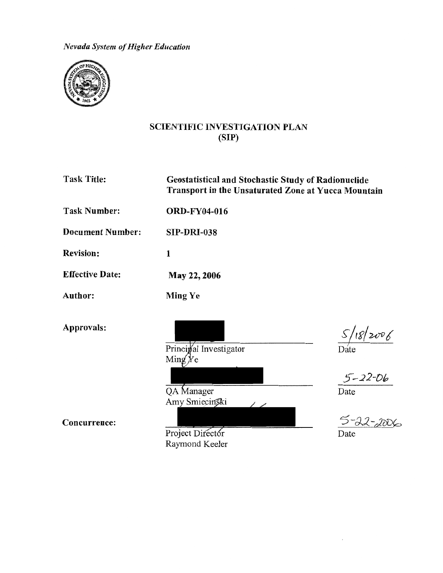*Nevada System of Higher Education* 



#### SCIENTIFIC INVESTIGATION PLAN (SIP)

Task Title:

Geostatistical and Stochastic Study of Radionuclide Transport in the Unsaturated Zone at Yucca Mountain

Task Number: ORD-FY04-016

Document Number: **SIP-DRI-038** 

1

Ming Ye

Revision:

Effective Date: May22,2006

Author:

Approvals:

Principal Investigator  $\text{Min}(x)$ 

QA Manager Amy Smiecinski

Concurrence:

Project Director Raymond Keeler

 $18/2006$ 

Date

 $5 - 22 - 06$ 

Date

Date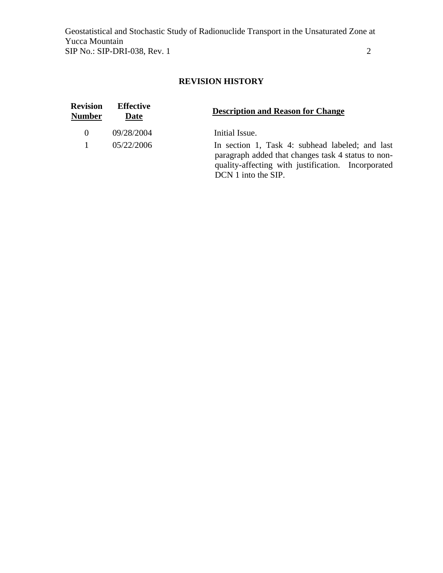### **REVISION HISTORY**

| <b>Revision</b><br><b>Number</b> | <b>Effective</b><br>Date | <b>Description and Reason for Change</b>                                                                                                                                           |
|----------------------------------|--------------------------|------------------------------------------------------------------------------------------------------------------------------------------------------------------------------------|
| $\theta$                         | 09/28/2004               | Initial Issue.                                                                                                                                                                     |
|                                  | 05/22/2006               | In section 1, Task 4: subhead labeled; and last<br>paragraph added that changes task 4 status to non-<br>quality-affecting with justification. Incorporated<br>DCN 1 into the SIP. |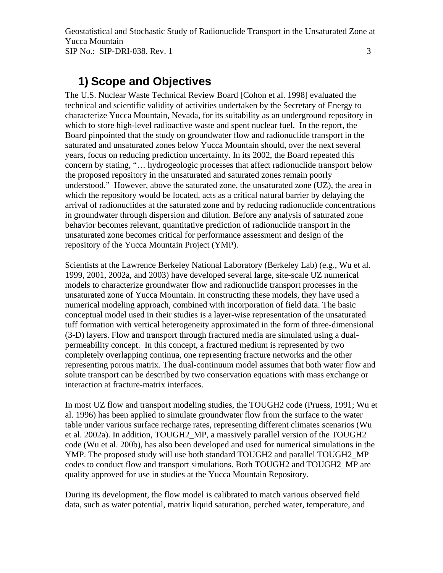### **1) Scope and Objectives**

The U.S. Nuclear Waste Technical Review Board [Cohon et al. 1998] evaluated the technical and scientific validity of activities undertaken by the Secretary of Energy to characterize Yucca Mountain, Nevada, for its suitability as an underground repository in which to store high-level radioactive waste and spent nuclear fuel. In the report, the Board pinpointed that the study on groundwater flow and radionuclide transport in the saturated and unsaturated zones below Yucca Mountain should, over the next several years, focus on reducing prediction uncertainty. In its 2002, the Board repeated this concern by stating, "… hydrogeologic processes that affect radionuclide transport below the proposed repository in the unsaturated and saturated zones remain poorly understood." However, above the saturated zone, the unsaturated zone (UZ), the area in which the repository would be located, acts as a critical natural barrier by delaying the arrival of radionuclides at the saturated zone and by reducing radionuclide concentrations in groundwater through dispersion and dilution. Before any analysis of saturated zone behavior becomes relevant, quantitative prediction of radionuclide transport in the unsaturated zone becomes critical for performance assessment and design of the repository of the Yucca Mountain Project (YMP).

Scientists at the Lawrence Berkeley National Laboratory (Berkeley Lab) (e.g., Wu et al. 1999, 2001, 2002a, and 2003) have developed several large, site-scale UZ numerical models to characterize groundwater flow and radionuclide transport processes in the unsaturated zone of Yucca Mountain. In constructing these models, they have used a numerical modeling approach, combined with incorporation of field data. The basic conceptual model used in their studies is a layer-wise representation of the unsaturated tuff formation with vertical heterogeneity approximated in the form of three-dimensional (3-D) layers. Flow and transport through fractured media are simulated using a dualpermeability concept. In this concept, a fractured medium is represented by two completely overlapping continua, one representing fracture networks and the other representing porous matrix. The dual-continuum model assumes that both water flow and solute transport can be described by two conservation equations with mass exchange or interaction at fracture-matrix interfaces.

In most UZ flow and transport modeling studies, the TOUGH2 code (Pruess, 1991; Wu et al. 1996) has been applied to simulate groundwater flow from the surface to the water table under various surface recharge rates, representing different climates scenarios (Wu et al. 2002a). In addition, TOUGH2\_MP, a massively parallel version of the TOUGH2 code (Wu et al. 200b), has also been developed and used for numerical simulations in the YMP. The proposed study will use both standard TOUGH2 and parallel TOUGH2\_MP codes to conduct flow and transport simulations. Both TOUGH2 and TOUGH2\_MP are quality approved for use in studies at the Yucca Mountain Repository.

During its development, the flow model is calibrated to match various observed field data, such as water potential, matrix liquid saturation, perched water, temperature, and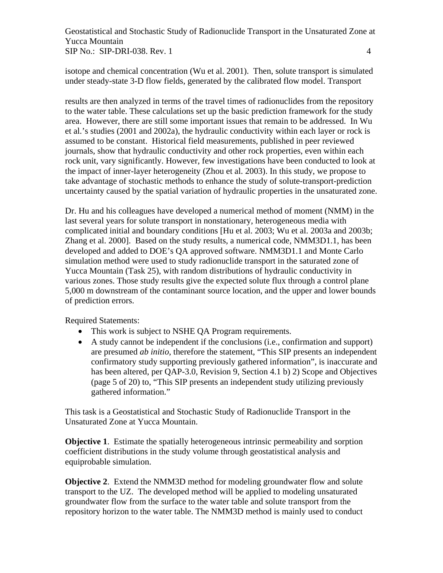isotope and chemical concentration (Wu et al. 2001). Then, solute transport is simulated under steady-state 3-D flow fields, generated by the calibrated flow model. Transport

results are then analyzed in terms of the travel times of radionuclides from the repository to the water table. These calculations set up the basic prediction framework for the study area. However, there are still some important issues that remain to be addressed. In Wu et al.'s studies (2001 and 2002a), the hydraulic conductivity within each layer or rock is assumed to be constant. Historical field measurements, published in peer reviewed journals, show that hydraulic conductivity and other rock properties, even within each rock unit, vary significantly. However, few investigations have been conducted to look at the impact of inner-layer heterogeneity (Zhou et al. 2003). In this study, we propose to take advantage of stochastic methods to enhance the study of solute-transport-prediction uncertainty caused by the spatial variation of hydraulic properties in the unsaturated zone.

Dr. Hu and his colleagues have developed a numerical method of moment (NMM) in the last several years for solute transport in nonstationary, heterogeneous media with complicated initial and boundary conditions [Hu et al. 2003; Wu et al. 2003a and 2003b; Zhang et al. 2000]. Based on the study results, a numerical code, NMM3D1.1, has been developed and added to DOE's QA approved software. NMM3D1.1 and Monte Carlo simulation method were used to study radionuclide transport in the saturated zone of Yucca Mountain (Task 25), with random distributions of hydraulic conductivity in various zones. Those study results give the expected solute flux through a control plane 5,000 m downstream of the contaminant source location, and the upper and lower bounds of prediction errors.

Required Statements:

- This work is subject to NSHE QA Program requirements.
- A study cannot be independent if the conclusions (i.e., confirmation and support) are presumed *ab initio*, therefore the statement, "This SIP presents an independent confirmatory study supporting previously gathered information", is inaccurate and has been altered, per QAP-3.0, Revision 9, Section 4.1 b) 2) Scope and Objectives (page 5 of 20) to, "This SIP presents an independent study utilizing previously gathered information."

This task is a Geostatistical and Stochastic Study of Radionuclide Transport in the Unsaturated Zone at Yucca Mountain.

**Objective 1.** Estimate the spatially heterogeneous intrinsic permeability and sorption coefficient distributions in the study volume through geostatistical analysis and equiprobable simulation.

**Objective 2.** Extend the NMM3D method for modeling groundwater flow and solute transport to the UZ. The developed method will be applied to modeling unsaturated groundwater flow from the surface to the water table and solute transport from the repository horizon to the water table. The NMM3D method is mainly used to conduct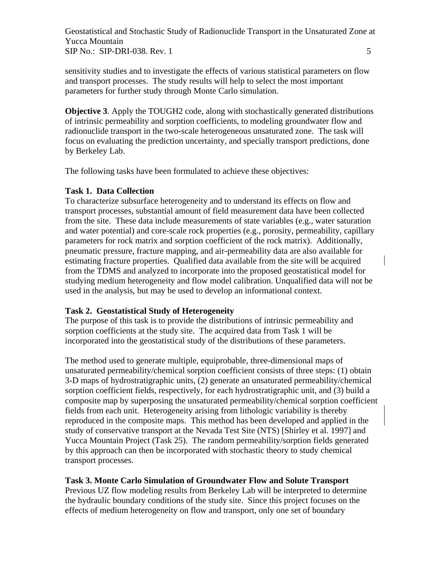sensitivity studies and to investigate the effects of various statistical parameters on flow and transport processes. The study results will help to select the most important parameters for further study through Monte Carlo simulation.

**Objective 3**. Apply the TOUGH2 code, along with stochastically generated distributions of intrinsic permeability and sorption coefficients, to modeling groundwater flow and radionuclide transport in the two-scale heterogeneous unsaturated zone. The task will focus on evaluating the prediction uncertainty, and specially transport predictions, done by Berkeley Lab.

The following tasks have been formulated to achieve these objectives:

#### **Task 1. Data Collection**

To characterize subsurface heterogeneity and to understand its effects on flow and transport processes, substantial amount of field measurement data have been collected from the site. These data include measurements of state variables (e.g., water saturation and water potential) and core-scale rock properties (e.g., porosity, permeability, capillary parameters for rock matrix and sorption coefficient of the rock matrix). Additionally, pneumatic pressure, fracture mapping, and air-permeability data are also available for estimating fracture properties. Qualified data available from the site will be acquired from the TDMS and analyzed to incorporate into the proposed geostatistical model for studying medium heterogeneity and flow model calibration. Unqualified data will not be used in the analysis, but may be used to develop an informational context.

#### **Task 2. Geostatistical Study of Heterogeneity**

The purpose of this task is to provide the distributions of intrinsic permeability and sorption coefficients at the study site. The acquired data from Task 1 will be incorporated into the geostatistical study of the distributions of these parameters.

The method used to generate multiple, equiprobable, three-dimensional maps of unsaturated permeability/chemical sorption coefficient consists of three steps: (1) obtain 3-D maps of hydrostratigraphic units, (2) generate an unsaturated permeability/chemical sorption coefficient fields, respectively, for each hydrostratigraphic unit, and (3) build a composite map by superposing the unsaturated permeability/chemical sorption coefficient fields from each unit. Heterogeneity arising from lithologic variability is thereby reproduced in the composite maps. This method has been developed and applied in the study of conservative transport at the Nevada Test Site (NTS) [Shirley et al. 1997] and Yucca Mountain Project (Task 25). The random permeability/sorption fields generated by this approach can then be incorporated with stochastic theory to study chemical transport processes.

#### **Task 3. Monte Carlo Simulation of Groundwater Flow and Solute Transport**

Previous UZ flow modeling results from Berkeley Lab will be interpreted to determine the hydraulic boundary conditions of the study site. Since this project focuses on the effects of medium heterogeneity on flow and transport, only one set of boundary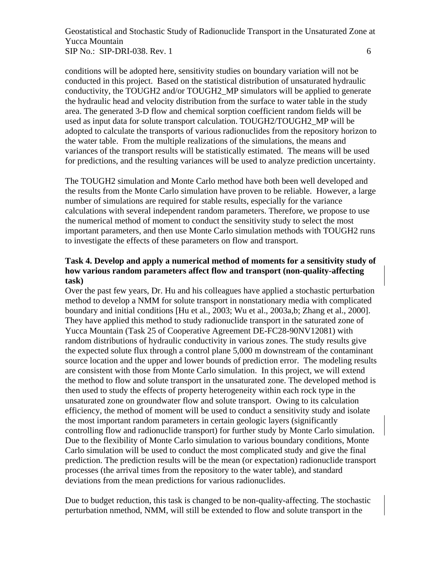conditions will be adopted here, sensitivity studies on boundary variation will not be conducted in this project. Based on the statistical distribution of unsaturated hydraulic conductivity, the TOUGH2 and/or TOUGH2\_MP simulators will be applied to generate the hydraulic head and velocity distribution from the surface to water table in the study area. The generated 3-D flow and chemical sorption coefficient random fields will be used as input data for solute transport calculation. TOUGH2/TOUGH2\_MP will be adopted to calculate the transports of various radionuclides from the repository horizon to the water table. From the multiple realizations of the simulations, the means and variances of the transport results will be statistically estimated. The means will be used for predictions, and the resulting variances will be used to analyze prediction uncertainty.

The TOUGH2 simulation and Monte Carlo method have both been well developed and the results from the Monte Carlo simulation have proven to be reliable. However, a large number of simulations are required for stable results, especially for the variance calculations with several independent random parameters. Therefore, we propose to use the numerical method of moment to conduct the sensitivity study to select the most important parameters, and then use Monte Carlo simulation methods with TOUGH2 runs to investigate the effects of these parameters on flow and transport.

#### **Task 4. Develop and apply a numerical method of moments for a sensitivity study of how various random parameters affect flow and transport (non-quality-affecting task)**

Over the past few years, Dr. Hu and his colleagues have applied a stochastic perturbation method to develop a NMM for solute transport in nonstationary media with complicated boundary and initial conditions [Hu et al., 2003; Wu et al., 2003a,b; Zhang et al., 2000]. They have applied this method to study radionuclide transport in the saturated zone of Yucca Mountain (Task 25 of Cooperative Agreement DE-FC28-90NV12081) with random distributions of hydraulic conductivity in various zones. The study results give the expected solute flux through a control plane 5,000 m downstream of the contaminant source location and the upper and lower bounds of prediction error. The modeling results are consistent with those from Monte Carlo simulation. In this project, we will extend the method to flow and solute transport in the unsaturated zone. The developed method is then used to study the effects of property heterogeneity within each rock type in the unsaturated zone on groundwater flow and solute transport. Owing to its calculation efficiency, the method of moment will be used to conduct a sensitivity study and isolate the most important random parameters in certain geologic layers (significantly controlling flow and radionuclide transport) for further study by Monte Carlo simulation. Due to the flexibility of Monte Carlo simulation to various boundary conditions, Monte Carlo simulation will be used to conduct the most complicated study and give the final prediction. The prediction results will be the mean (or expectation) radionuclide transport processes (the arrival times from the repository to the water table), and standard deviations from the mean predictions for various radionuclides.

Due to budget reduction, this task is changed to be non-quality-affecting. The stochastic perturbation nmethod, NMM, will still be extended to flow and solute transport in the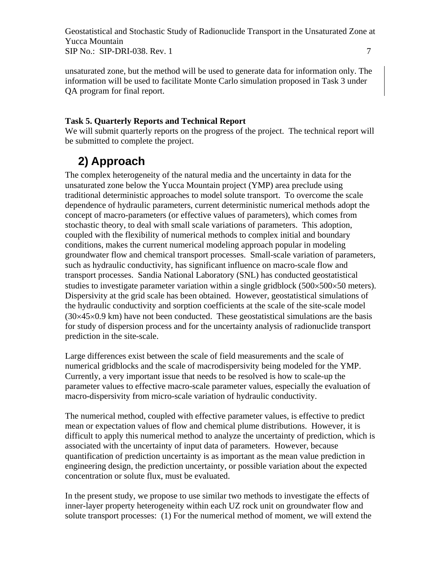unsaturated zone, but the method will be used to generate data for information only. The information will be used to facilitate Monte Carlo simulation proposed in Task 3 under QA program for final report.

#### **Task 5. Quarterly Reports and Technical Report**

We will submit quarterly reports on the progress of the project. The technical report will be submitted to complete the project.

### **2) Approach**

The complex heterogeneity of the natural media and the uncertainty in data for the unsaturated zone below the Yucca Mountain project (YMP) area preclude using traditional deterministic approaches to model solute transport. To overcome the scale dependence of hydraulic parameters, current deterministic numerical methods adopt the concept of macro-parameters (or effective values of parameters), which comes from stochastic theory, to deal with small scale variations of parameters. This adoption, coupled with the flexibility of numerical methods to complex initial and boundary conditions, makes the current numerical modeling approach popular in modeling groundwater flow and chemical transport processes. Small-scale variation of parameters, such as hydraulic conductivity, has significant influence on macro-scale flow and transport processes. Sandia National Laboratory (SNL) has conducted geostatistical studies to investigate parameter variation within a single gridblock ( $500 \times 500 \times 50$  meters). Dispersivity at the grid scale has been obtained. However, geostatistical simulations of the hydraulic conductivity and sorption coefficients at the scale of the site-scale model  $(30\times45\times0.9 \text{ km})$  have not been conducted. These geostatistical simulations are the basis for study of dispersion process and for the uncertainty analysis of radionuclide transport prediction in the site-scale.

Large differences exist between the scale of field measurements and the scale of numerical gridblocks and the scale of macrodispersivity being modeled for the YMP. Currently, a very important issue that needs to be resolved is how to scale-up the parameter values to effective macro-scale parameter values, especially the evaluation of macro-dispersivity from micro-scale variation of hydraulic conductivity.

The numerical method, coupled with effective parameter values, is effective to predict mean or expectation values of flow and chemical plume distributions. However, it is difficult to apply this numerical method to analyze the uncertainty of prediction, which is associated with the uncertainty of input data of parameters. However, because quantification of prediction uncertainty is as important as the mean value prediction in engineering design, the prediction uncertainty, or possible variation about the expected concentration or solute flux, must be evaluated.

In the present study, we propose to use similar two methods to investigate the effects of inner-layer property heterogeneity within each UZ rock unit on groundwater flow and solute transport processes: (1) For the numerical method of moment, we will extend the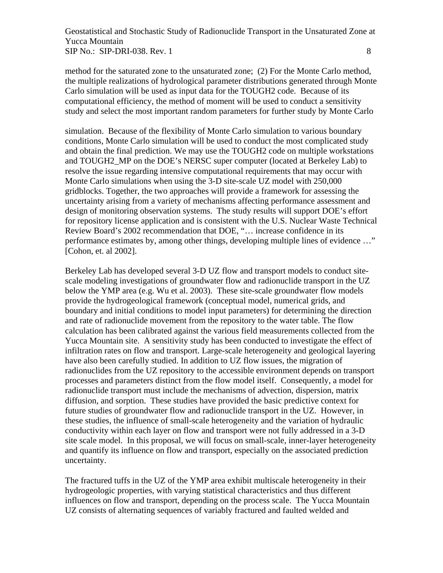method for the saturated zone to the unsaturated zone; (2) For the Monte Carlo method, the multiple realizations of hydrological parameter distributions generated through Monte Carlo simulation will be used as input data for the TOUGH2 code. Because of its computational efficiency, the method of moment will be used to conduct a sensitivity study and select the most important random parameters for further study by Monte Carlo

simulation. Because of the flexibility of Monte Carlo simulation to various boundary conditions, Monte Carlo simulation will be used to conduct the most complicated study and obtain the final prediction. We may use the TOUGH2 code on multiple workstations and TOUGH2\_MP on the DOE's NERSC super computer (located at Berkeley Lab) to resolve the issue regarding intensive computational requirements that may occur with Monte Carlo simulations when using the 3-D site-scale UZ model with 250,000 gridblocks. Together, the two approaches will provide a framework for assessing the uncertainty arising from a variety of mechanisms affecting performance assessment and design of monitoring observation systems. The study results will support DOE's effort for repository license application and is consistent with the U.S. Nuclear Waste Technical Review Board's 2002 recommendation that DOE, "… increase confidence in its performance estimates by, among other things, developing multiple lines of evidence …" [Cohon, et. al 2002].

Berkeley Lab has developed several 3-D UZ flow and transport models to conduct sitescale modeling investigations of groundwater flow and radionuclide transport in the UZ below the YMP area (e.g. Wu et al. 2003). These site-scale groundwater flow models provide the hydrogeological framework (conceptual model, numerical grids, and boundary and initial conditions to model input parameters) for determining the direction and rate of radionuclide movement from the repository to the water table. The flow calculation has been calibrated against the various field measurements collected from the Yucca Mountain site. A sensitivity study has been conducted to investigate the effect of infiltration rates on flow and transport. Large-scale heterogeneity and geological layering have also been carefully studied. In addition to UZ flow issues, the migration of radionuclides from the UZ repository to the accessible environment depends on transport processes and parameters distinct from the flow model itself. Consequently, a model for radionuclide transport must include the mechanisms of advection, dispersion, matrix diffusion, and sorption. These studies have provided the basic predictive context for future studies of groundwater flow and radionuclide transport in the UZ. However, in these studies, the influence of small-scale heterogeneity and the variation of hydraulic conductivity within each layer on flow and transport were not fully addressed in a 3-D site scale model. In this proposal, we will focus on small-scale, inner-layer heterogeneity and quantify its influence on flow and transport, especially on the associated prediction uncertainty.

The fractured tuffs in the UZ of the YMP area exhibit multiscale heterogeneity in their hydrogeologic properties, with varying statistical characteristics and thus different influences on flow and transport, depending on the process scale. The Yucca Mountain UZ consists of alternating sequences of variably fractured and faulted welded and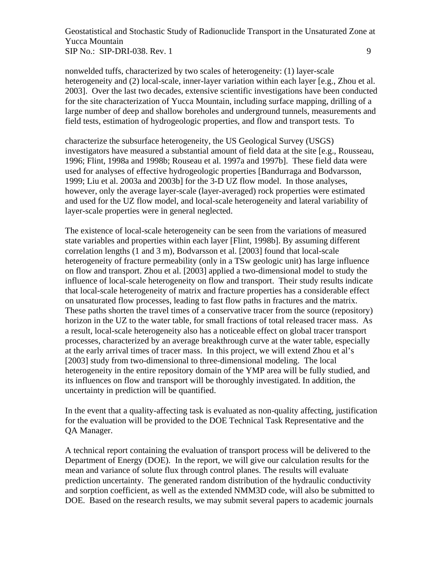nonwelded tuffs, characterized by two scales of heterogeneity: (1) layer-scale heterogeneity and (2) local-scale, inner-layer variation within each layer [e.g., Zhou et al. 2003]. Over the last two decades, extensive scientific investigations have been conducted

for the site characterization of Yucca Mountain, including surface mapping, drilling of a large number of deep and shallow boreholes and underground tunnels, measurements and field tests, estimation of hydrogeologic properties, and flow and transport tests. To

characterize the subsurface heterogeneity, the US Geological Survey (USGS) investigators have measured a substantial amount of field data at the site [e.g., Rousseau, 1996; Flint, 1998a and 1998b; Rouseau et al. 1997a and 1997b]. These field data were used for analyses of effective hydrogeologic properties [Bandurraga and Bodvarsson, 1999; Liu et al. 2003a and 2003b] for the 3-D UZ flow model. In those analyses, however, only the average layer-scale (layer-averaged) rock properties were estimated and used for the UZ flow model, and local-scale heterogeneity and lateral variability of layer-scale properties were in general neglected.

The existence of local-scale heterogeneity can be seen from the variations of measured state variables and properties within each layer [Flint, 1998b]. By assuming different correlation lengths (1 and 3 m), Bodvarsson et al. [2003] found that local-scale heterogeneity of fracture permeability (only in a TSw geologic unit) has large influence on flow and transport. Zhou et al. [2003] applied a two-dimensional model to study the influence of local-scale heterogeneity on flow and transport. Their study results indicate that local-scale heterogeneity of matrix and fracture properties has a considerable effect on unsaturated flow processes, leading to fast flow paths in fractures and the matrix. These paths shorten the travel times of a conservative tracer from the source (repository) horizon in the UZ to the water table, for small fractions of total released tracer mass. As a result, local-scale heterogeneity also has a noticeable effect on global tracer transport processes, characterized by an average breakthrough curve at the water table, especially at the early arrival times of tracer mass. In this project, we will extend Zhou et al's [2003] study from two-dimensional to three-dimensional modeling. The local heterogeneity in the entire repository domain of the YMP area will be fully studied, and its influences on flow and transport will be thoroughly investigated. In addition, the uncertainty in prediction will be quantified.

In the event that a quality-affecting task is evaluated as non-quality affecting, justification for the evaluation will be provided to the DOE Technical Task Representative and the QA Manager.

A technical report containing the evaluation of transport process will be delivered to the Department of Energy (DOE). In the report, we will give our calculation results for the mean and variance of solute flux through control planes. The results will evaluate prediction uncertainty. The generated random distribution of the hydraulic conductivity and sorption coefficient, as well as the extended NMM3D code, will also be submitted to DOE. Based on the research results, we may submit several papers to academic journals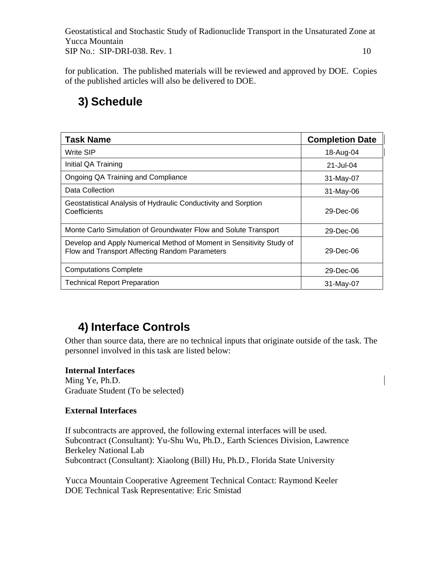for publication. The published materials will be reviewed and approved by DOE. Copies of the published articles will also be delivered to DOE.

## **3) Schedule**

| <b>Task Name</b>                                                                                                       | <b>Completion Date</b> |
|------------------------------------------------------------------------------------------------------------------------|------------------------|
| Write SIP                                                                                                              | 18-Aug-04              |
| Initial QA Training                                                                                                    | 21-Jul-04              |
| Ongoing QA Training and Compliance                                                                                     | 31-May-07              |
| Data Collection                                                                                                        | $31-May-06$            |
| Geostatistical Analysis of Hydraulic Conductivity and Sorption<br>Coefficients                                         | 29-Dec-06              |
| Monte Carlo Simulation of Groundwater Flow and Solute Transport                                                        | 29-Dec-06              |
| Develop and Apply Numerical Method of Moment in Sensitivity Study of<br>Flow and Transport Affecting Random Parameters | $29 - Dec-06$          |
| <b>Computations Complete</b>                                                                                           | 29-Dec-06              |
| <b>Technical Report Preparation</b>                                                                                    | 31-May-07              |

## **4) Interface Controls**

Other than source data, there are no technical inputs that originate outside of the task. The personnel involved in this task are listed below:

#### **Internal Interfaces**

Ming Ye, Ph.D. Graduate Student (To be selected)

#### **External Interfaces**

If subcontracts are approved, the following external interfaces will be used. Subcontract (Consultant): Yu-Shu Wu, Ph.D., Earth Sciences Division, Lawrence Berkeley National Lab Subcontract (Consultant): Xiaolong (Bill) Hu, Ph.D., Florida State University

Yucca Mountain Cooperative Agreement Technical Contact: Raymond Keeler DOE Technical Task Representative: Eric Smistad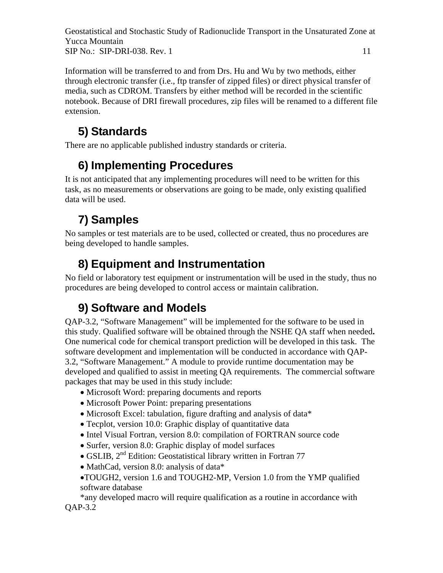Information will be transferred to and from Drs. Hu and Wu by two methods, either through electronic transfer (i.e., ftp transfer of zipped files) or direct physical transfer of media, such as CDROM. Transfers by either method will be recorded in the scientific notebook. Because of DRI firewall procedures, zip files will be renamed to a different file extension.

# **5) Standards**

There are no applicable published industry standards or criteria.

# **6) Implementing Procedures**

It is not anticipated that any implementing procedures will need to be written for this task, as no measurements or observations are going to be made, only existing qualified data will be used.

# **7) Samples**

No samples or test materials are to be used, collected or created, thus no procedures are being developed to handle samples.

# **8) Equipment and Instrumentation**

No field or laboratory test equipment or instrumentation will be used in the study, thus no procedures are being developed to control access or maintain calibration.

# **9) Software and Models**

QAP-3.2, "Software Management" will be implemented for the software to be used in this study. Qualified software will be obtained through the NSHE QA staff when needed**.**  One numerical code for chemical transport prediction will be developed in this task. The software development and implementation will be conducted in accordance with QAP-3.2, "Software Management." A module to provide runtime documentation may be developed and qualified to assist in meeting QA requirements. The commercial software packages that may be used in this study include:

- Microsoft Word: preparing documents and reports
- Microsoft Power Point: preparing presentations
- Microsoft Excel: tabulation, figure drafting and analysis of data\*
- Tecplot, version 10.0: Graphic display of quantitative data
- Intel Visual Fortran, version 8.0: compilation of FORTRAN source code
- Surfer, version 8.0: Graphic display of model surfaces
- GSLIB, 2<sup>nd</sup> Edition: Geostatistical library written in Fortran 77
- MathCad, version 8.0: analysis of data\*
- •TOUGH2, version 1.6 and TOUGH2-MP, Version 1.0 from the YMP qualified software database

\*any developed macro will require qualification as a routine in accordance with QAP-3.2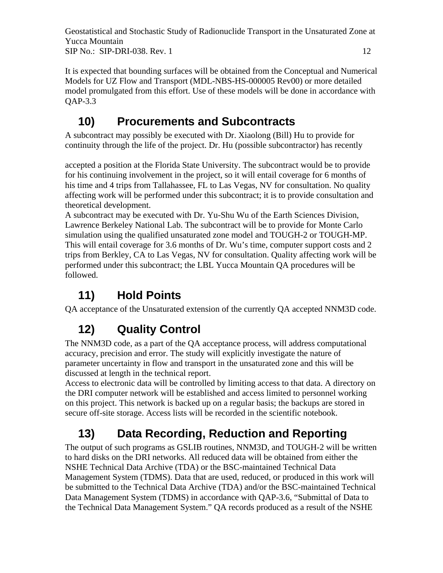It is expected that bounding surfaces will be obtained from the Conceptual and Numerical Models for UZ Flow and Transport (MDL-NBS-HS-000005 Rev00) or more detailed model promulgated from this effort. Use of these models will be done in accordance with QAP-3.3

### **10) Procurements and Subcontracts**

A subcontract may possibly be executed with Dr. Xiaolong (Bill) Hu to provide for continuity through the life of the project. Dr. Hu (possible subcontractor) has recently

accepted a position at the Florida State University. The subcontract would be to provide for his continuing involvement in the project, so it will entail coverage for 6 months of his time and 4 trips from Tallahassee, FL to Las Vegas, NV for consultation. No quality affecting work will be performed under this subcontract; it is to provide consultation and theoretical development.

A subcontract may be executed with Dr. Yu-Shu Wu of the Earth Sciences Division, Lawrence Berkeley National Lab. The subcontract will be to provide for Monte Carlo simulation using the qualified unsaturated zone model and TOUGH-2 or TOUGH-MP. This will entail coverage for 3.6 months of Dr. Wu's time, computer support costs and 2 trips from Berkley, CA to Las Vegas, NV for consultation. Quality affecting work will be performed under this subcontract; the LBL Yucca Mountain QA procedures will be followed.

# **11) Hold Points**

QA acceptance of the Unsaturated extension of the currently QA accepted NNM3D code.

# **12) Quality Control**

The NNM3D code, as a part of the QA acceptance process, will address computational accuracy, precision and error. The study will explicitly investigate the nature of parameter uncertainty in flow and transport in the unsaturated zone and this will be discussed at length in the technical report.

Access to electronic data will be controlled by limiting access to that data. A directory on the DRI computer network will be established and access limited to personnel working on this project. This network is backed up on a regular basis; the backups are stored in secure off-site storage. Access lists will be recorded in the scientific notebook.

# **13) Data Recording, Reduction and Reporting**

The output of such programs as GSLIB routines, NNM3D, and TOUGH-2 will be written to hard disks on the DRI networks. All reduced data will be obtained from either the NSHE Technical Data Archive (TDA) or the BSC-maintained Technical Data Management System (TDMS). Data that are used, reduced, or produced in this work will be submitted to the Technical Data Archive (TDA) and/or the BSC-maintained Technical Data Management System (TDMS) in accordance with QAP-3.6, "Submittal of Data to the Technical Data Management System." QA records produced as a result of the NSHE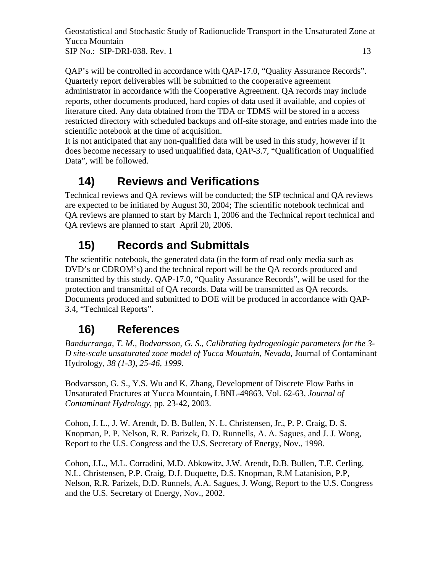QAP's will be controlled in accordance with QAP-17.0, "Quality Assurance Records". Quarterly report deliverables will be submitted to the cooperative agreement administrator in accordance with the Cooperative Agreement. QA records may include reports, other documents produced, hard copies of data used if available, and copies of literature cited. Any data obtained from the TDA or TDMS will be stored in a access restricted directory with scheduled backups and off-site storage, and entries made into the scientific notebook at the time of acquisition.

It is not anticipated that any non-qualified data will be used in this study, however if it does become necessary to used unqualified data, QAP-3.7, "Qualification of Unqualified Data", will be followed.

### **14) Reviews and Verifications**

Technical reviews and QA reviews will be conducted; the SIP technical and QA reviews are expected to be initiated by August 30, 2004; The scientific notebook technical and QA reviews are planned to start by March 1, 2006 and the Technical report technical and QA reviews are planned to start April 20, 2006.

## **15) Records and Submittals**

The scientific notebook, the generated data (in the form of read only media such as DVD's or CDROM's) and the technical report will be the QA records produced and transmitted by this study. QAP-17.0, "Quality Assurance Records", will be used for the protection and transmittal of QA records. Data will be transmitted as QA records. Documents produced and submitted to DOE will be produced in accordance with QAP-3.4, "Technical Reports".

### **16) References**

*Bandurranga, T. M., Bodvarsson, G. S., Calibrating hydrogeologic parameters for the 3- D site-scale unsaturated zone model of Yucca Mountain, Nevada,* Journal of Contaminant Hydrology*, 38 (1-3), 25-46, 1999.* 

Bodvarsson, G. S., Y.S. Wu and K. Zhang, Development of Discrete Flow Paths in Unsaturated Fractures at Yucca Mountain, LBNL-49863, Vol. 62-63, *Journal of Contaminant Hydrology*, pp. 23-42, 2003.

Cohon, J. L., J. W. Arendt, D. B. Bullen, N. L. Christensen, Jr., P. P. Craig, D. S. Knopman, P. P. Nelson, R. R. Parizek, D. D. Runnells, A. A. Sagues, and J. J. Wong, Report to the U.S. Congress and the U.S. Secretary of Energy, Nov., 1998.

Cohon, J.L., M.L. Corradini, M.D. Abkowitz, J.W. Arendt, D.B. Bullen, T.E. Cerling, N.L. Christensen, P.P. Craig, D.J. Duquette, D.S. Knopman, R.M Latanision, P.P, Nelson, R.R. Parizek, D.D. Runnels, A.A. Sagues, J. Wong, Report to the U.S. Congress and the U.S. Secretary of Energy, Nov., 2002.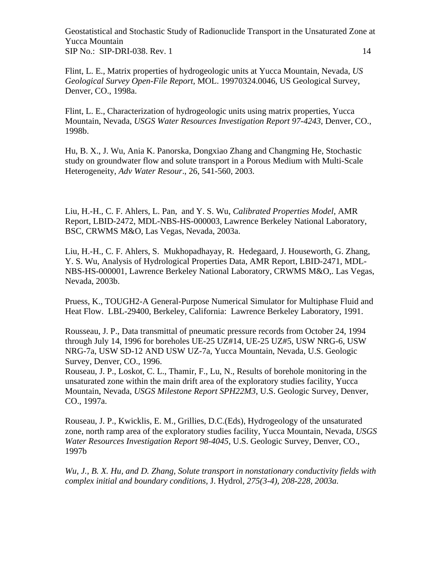Flint, L. E., Matrix properties of hydrogeologic units at Yucca Mountain, Nevada, *US Geological Survey Open-File Report*, MOL. 19970324.0046, US Geological Survey, Denver, CO., 1998a.

Flint, L. E., Characterization of hydrogeologic units using matrix properties, Yucca Mountain, Nevada, *USGS Water Resources Investigation Report 97-4243*, Denver, CO., 1998b.

Hu, B. X., J. Wu, Ania K. Panorska, Dongxiao Zhang and Changming He, Stochastic study on groundwater flow and solute transport in a Porous Medium with Multi-Scale Heterogeneity, *Adv Water Resour*., 26, 541-560, 2003.

Liu, H.-H., C. F. Ahlers, L. Pan, and Y. S. Wu, *Calibrated Properties Model*, AMR Report, LBID-2472, MDL-NBS-HS-000003, Lawrence Berkeley National Laboratory, BSC, CRWMS M&O, Las Vegas, Nevada, 2003a.

Liu, H.-H., C. F. Ahlers, S. Mukhopadhayay, R. Hedegaard, J. Houseworth, G. Zhang, Y. S. Wu, Analysis of Hydrological Properties Data, AMR Report, LBID-2471, MDL-NBS-HS-000001, Lawrence Berkeley National Laboratory, CRWMS M&O,. Las Vegas, Nevada, 2003b.

Pruess, K., TOUGH2-A General-Purpose Numerical Simulator for Multiphase Fluid and Heat Flow. LBL-29400, Berkeley, California: Lawrence Berkeley Laboratory, 1991.

Rousseau, J. P., Data transmittal of pneumatic pressure records from October 24, 1994 through July 14, 1996 for boreholes UE-25 UZ#14, UE-25 UZ#5, USW NRG-6, USW NRG-7a, USW SD-12 AND USW UZ-7a, Yucca Mountain, Nevada, U.S. Geologic Survey, Denver, CO., 1996.

Rouseau, J. P., Loskot, C. L., Thamir, F., Lu, N., Results of borehole monitoring in the unsaturated zone within the main drift area of the exploratory studies facility, Yucca Mountain, Nevada, *USGS Milestone Report SPH22M3*, U.S. Geologic Survey, Denver, CO., 1997a.

Rouseau, J. P., Kwicklis, E. M., Grillies, D.C.(Eds), Hydrogeology of the unsaturated zone, north ramp area of the exploratory studies facility, Yucca Mountain, Nevada, *USGS Water Resources Investigation Report 98-4045*, U.S. Geologic Survey, Denver, CO., 1997b

*Wu, J., B. X. Hu, and D. Zhang, Solute transport in nonstationary conductivity fields with complex initial and boundary conditions,* J. Hydrol*, 275(3-4), 208-228, 2003a.*